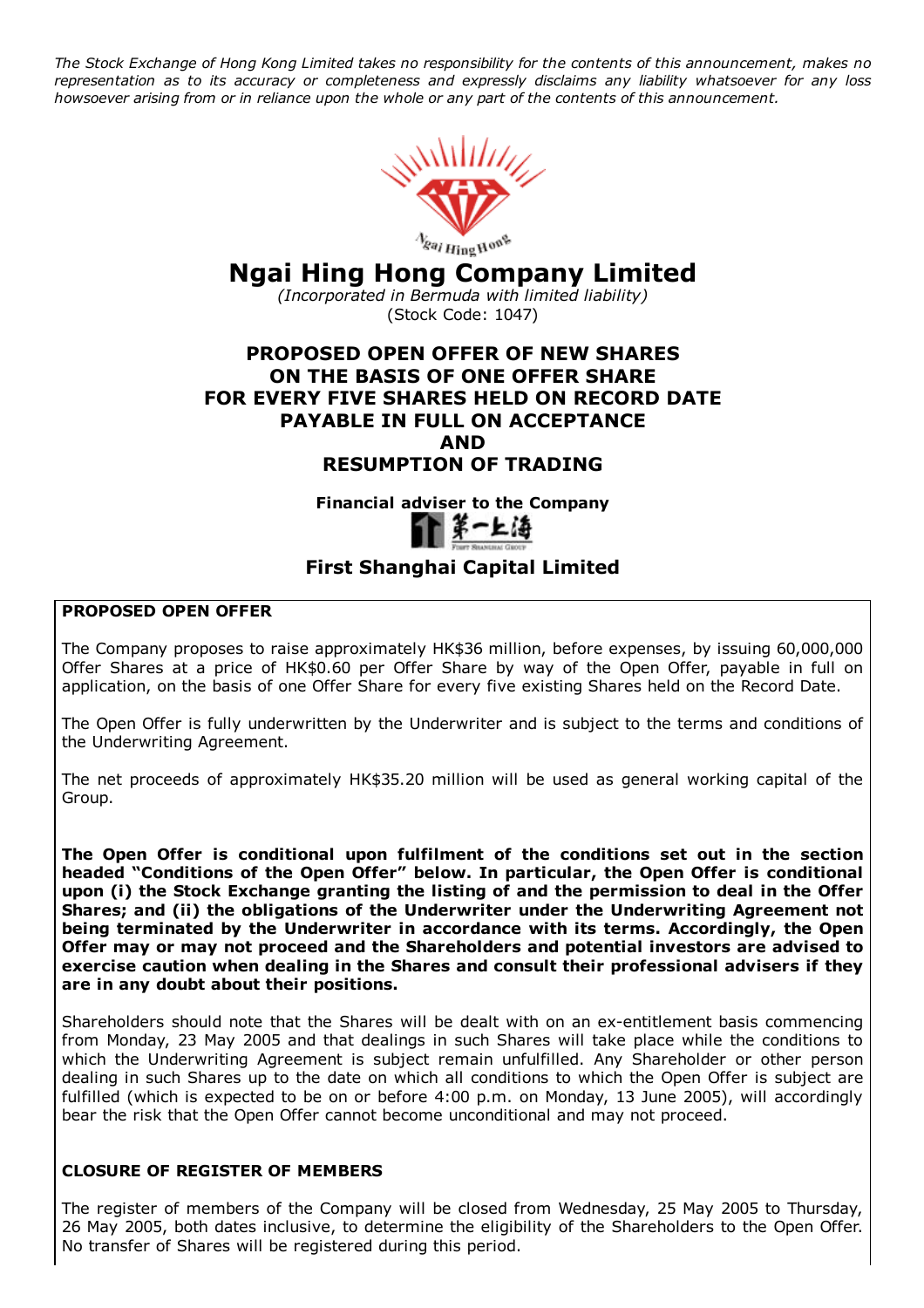The Stock Exchange of Hong Kong Limited takes no responsibility for the contents of this announcement, makes no representation as to its accuracy or completeness and expressly disclaims any liability whatsoever for any loss howsoever arising from or in reliance upon the whole or any part of the contents of this announcement.



# Ngai Hing Hong Company Limited

(Incorporated in Bermuda with limited liability) (Stock Code: 1047)

# PROPOSED OPEN OFFER OF NEW SHARES ON THE BASIS OF ONE OFFER SHARE FOR EVERY FIVE SHARES HELD ON RECORD DATE PAYABLE IN FULL ON ACCEPTANCE AND RESUMPTION OF TRADING

Financial adviser to the Company



# First Shanghai Capital Limited

# PROPOSED OPEN OFFER

The Company proposes to raise approximately HK\$36 million, before expenses, by issuing 60,000,000 Offer Shares at a price of HK\$0.60 per Offer Share by way of the Open Offer, payable in full on application, on the basis of one Offer Share for every five existing Shares held on the Record Date.

The Open Offer is fully underwritten by the Underwriter and is subject to the terms and conditions of the Underwriting Agreement.

The net proceeds of approximately HK\$35.20 million will be used as general working capital of the Group.

The Open Offer is conditional upon fulfilment of the conditions set out in the section headed "Conditions of the Open Offer" below. In particular, the Open Offer is conditional upon (i) the Stock Exchange granting the listing of and the permission to deal in the Offer Shares; and (ii) the obligations of the Underwriter under the Underwriting Agreement not being terminated by the Underwriter in accordance with its terms. Accordingly, the Open Offer may or may not proceed and the Shareholders and potential investors are advised to exercise caution when dealing in the Shares and consult their professional advisers if they are in any doubt about their positions.

Shareholders should note that the Shares will be dealt with on an ex-entitlement basis commencing from Monday, 23 May 2005 and that dealings in such Shares will take place while the conditions to which the Underwriting Agreement is subject remain unfulfilled. Any Shareholder or other person dealing in such Shares up to the date on which all conditions to which the Open Offer is subject are fulfilled (which is expected to be on or before 4:00 p.m. on Monday, 13 June 2005), will accordingly bear the risk that the Open Offer cannot become unconditional and may not proceed.

#### CLOSURE OF REGISTER OF MEMBERS

The register of members of the Company will be closed from Wednesday, 25 May 2005 to Thursday, 26 May 2005, both dates inclusive, to determine the eligibility of the Shareholders to the Open Offer. No transfer of Shares will be registered during this period.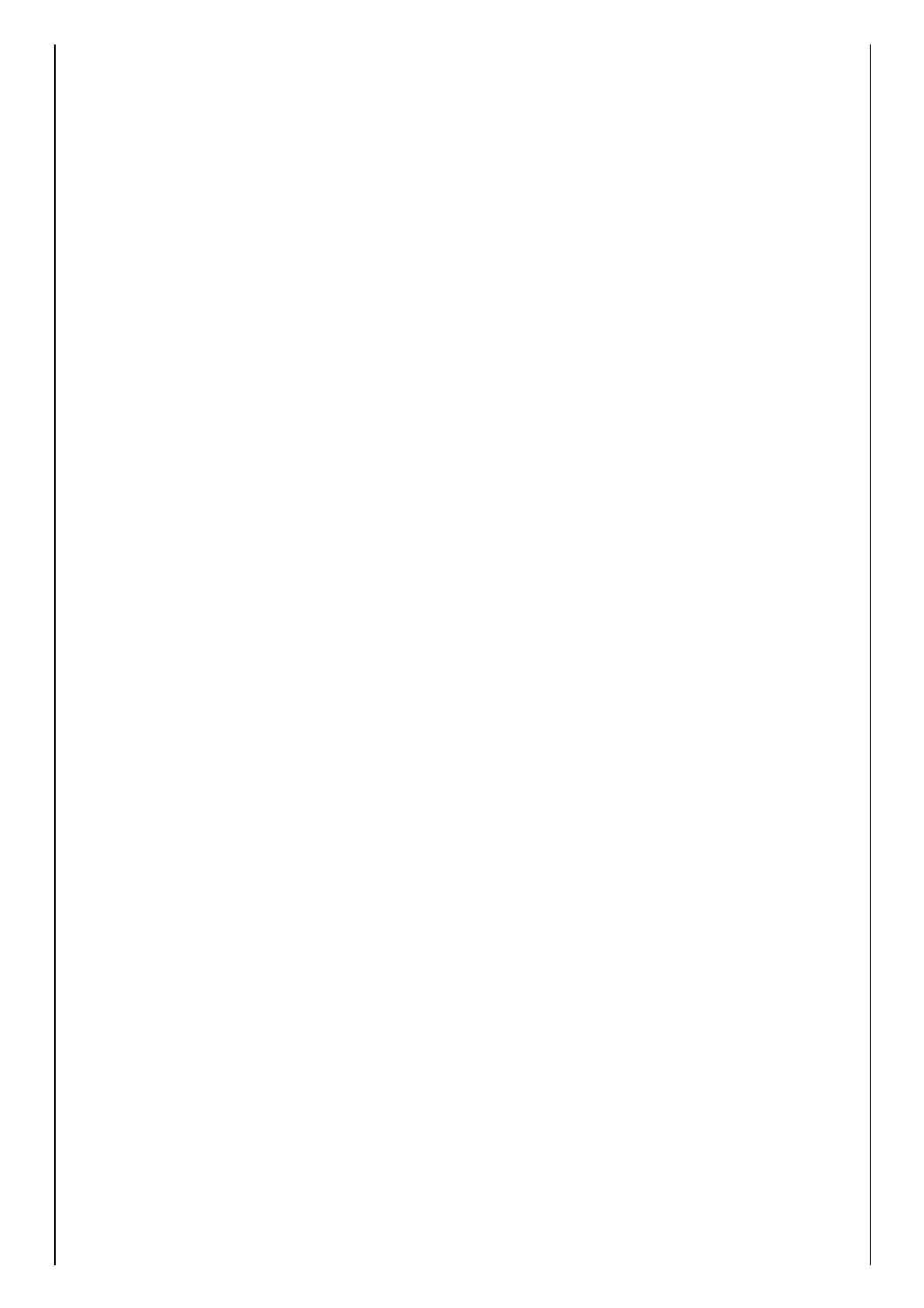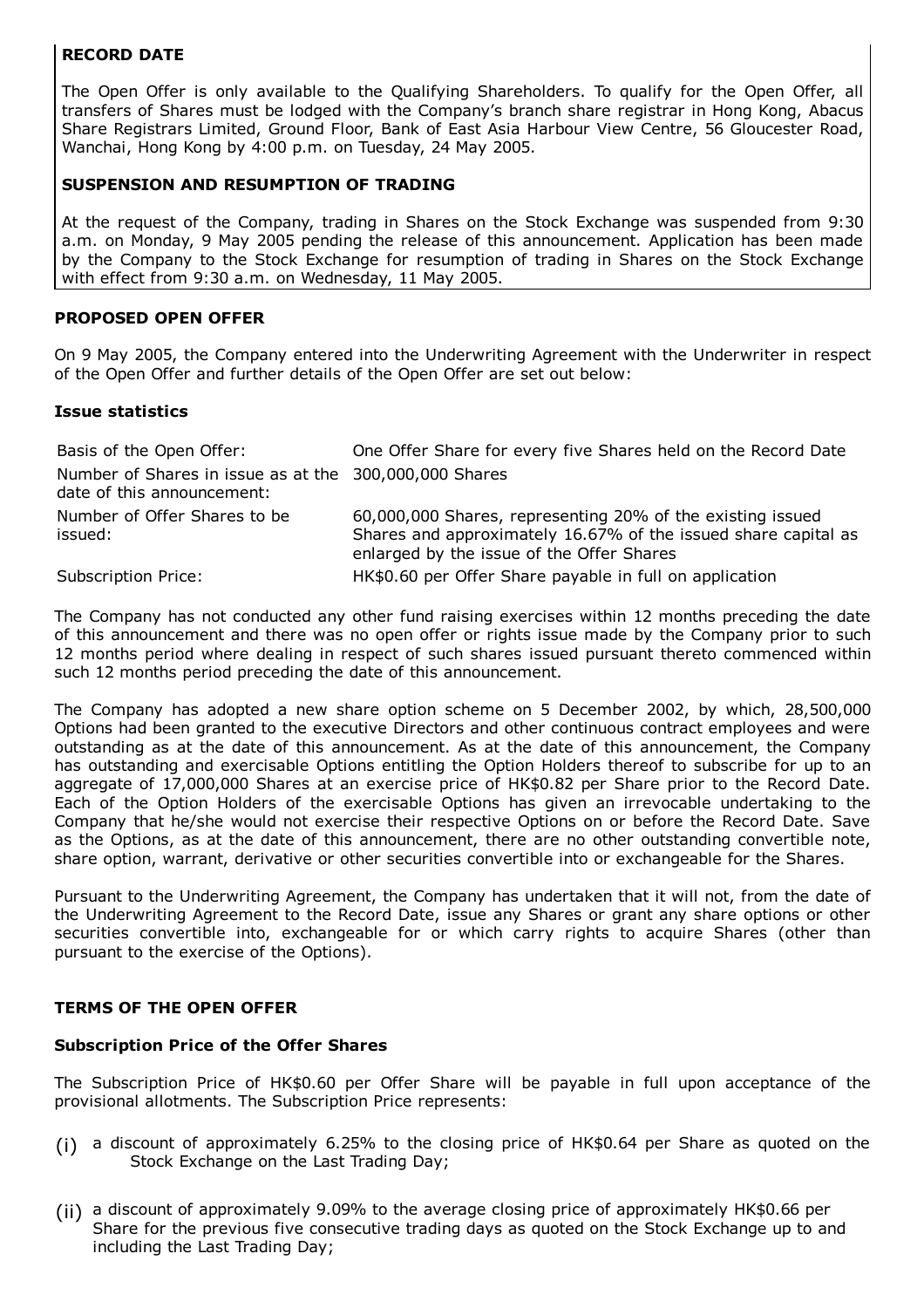# RECORD DATE

The Open Offer is only available to the Qualifying Shareholders. To qualify for the Open Offer, all transfers of Shares must be lodged with the Company's branch share registrar in Hong Kong, Abacus Share Registrars Limited, Ground Floor, Bank of East Asia Harbour View Centre, 56 Gloucester Road, Wanchai, Hong Kong by 4:00 p.m. on Tuesday, 24 May 2005.

# SUSPENSION AND RESUMPTION OF TRADING

At the request of the Company, trading in Shares on the Stock Exchange was suspended from 9:30 a.m. on Monday, 9 May 2005 pending the release of this announcement. Application has been made by the Company to the Stock Exchange for resumption of trading in Shares on the Stock Exchange with effect from 9:30 a.m. on Wednesday, 11 May 2005.

# PROPOSED OPEN OFFER

On 9 May 2005, the Company entered into the Underwriting Agreement with the Underwriter in respect of the Open Offer and further details of the Open Offer are set out below:

# Issue statistics

| Basis of the Open Offer:                                                             | One Offer Share for every five Shares held on the Record Date                                                                                                             |
|--------------------------------------------------------------------------------------|---------------------------------------------------------------------------------------------------------------------------------------------------------------------------|
| Number of Shares in issue as at the 300,000,000 Shares<br>date of this announcement: |                                                                                                                                                                           |
| Number of Offer Shares to be<br>issued:                                              | 60,000,000 Shares, representing 20% of the existing issued<br>Shares and approximately 16.67% of the issued share capital as<br>enlarged by the issue of the Offer Shares |
| Subscription Price:                                                                  | HK\$0.60 per Offer Share payable in full on application                                                                                                                   |

The Company has not conducted any other fund raising exercises within 12 months preceding the date of this announcement and there was no open offer or rights issue made by the Company prior to such 12 months period where dealing in respect of such shares issued pursuant thereto commenced within such 12 months period preceding the date of this announcement.

The Company has adopted a new share option scheme on 5 December 2002, by which, 28,500,000 Options had been granted to the executive Directors and other continuous contract employees and were outstanding as at the date of this announcement. As at the date of this announcement, the Company has outstanding and exercisable Options entitling the Option Holders thereof to subscribe for up to an aggregate of 17,000,000 Shares at an exercise price of HK\$0.82 per Share prior to the Record Date. Each of the Option Holders of the exercisable Options has given an irrevocable undertaking to the Company that he/she would not exercise their respective Options on or before the Record Date. Save as the Options, as at the date of this announcement, there are no other outstanding convertible note, share option, warrant, derivative or other securities convertible into or exchangeable for the Shares.

Pursuant to the Underwriting Agreement, the Company has undertaken that it will not, from the date of the Underwriting Agreement to the Record Date, issue any Shares or grant any share options or other securities convertible into, exchangeable for or which carry rights to acquire Shares (other than pursuant to the exercise of the Options).

#### TERMS OF THE OPEN OFFER

#### Subscription Price of the Offer Shares

The Subscription Price of HK\$0.60 per Offer Share will be payable in full upon acceptance of the provisional allotments. The Subscription Price represents:

- (i) a discount of approximately 6.25% to the closing price of HK\$0.64 per Share as quoted on the Stock Exchange on the Last Trading Day;
- (ii) a discount of approximately 9.09% to the average closing price of approximately HK\$0.66 per Share for the previous five consecutive trading days as quoted on the Stock Exchange up to and including the Last Trading Day;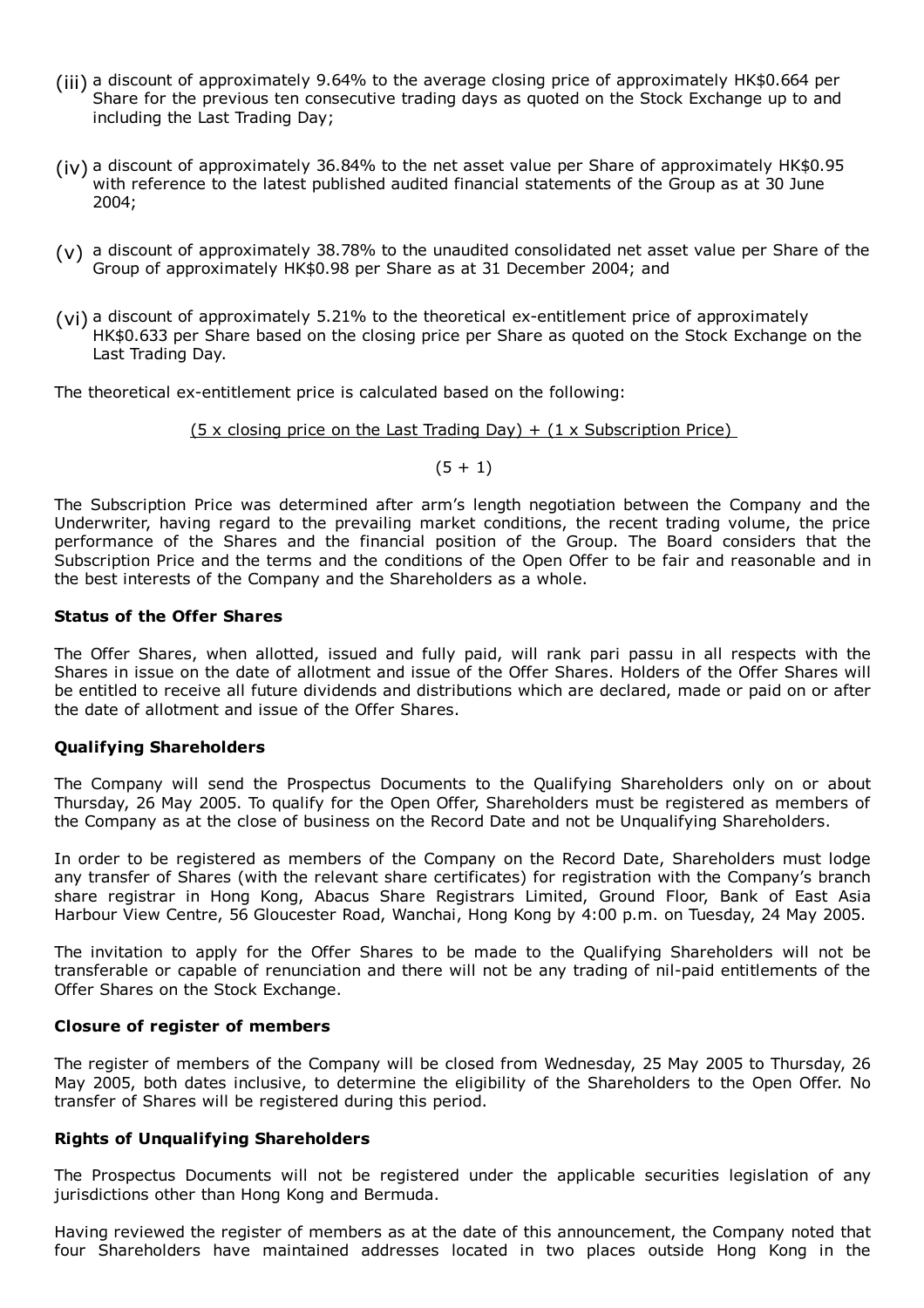- (iii) a discount of approximately 9.64% to the average closing price of approximately HK\$0.664 per Share for the previous ten consecutive trading days as quoted on the Stock Exchange up to and including the Last Trading Day;
- $(iv)$  a discount of approximately 36.84% to the net asset value per Share of approximately HK\$0.95 with reference to the latest published audited financial statements of the Group as at 30 June 2004;
- $(y)$  a discount of approximately 38.78% to the unaudited consolidated net asset value per Share of the Group of approximately HK\$0.98 per Share as at 31 December 2004; and
- $(v<sub>i</sub>)$  a discount of approximately 5.21% to the theoretical ex-entitlement price of approximately HK\$0.633 per Share based on the closing price per Share as quoted on the Stock Exchange on the Last Trading Day.

The theoretical ex-entitlement price is calculated based on the following:

 $(5 \times$  closing price on the Last Trading Day) +  $(1 \times$  Subscription Price)

#### $(5 + 1)$

The Subscription Price was determined after arm's length negotiation between the Company and the Underwriter, having regard to the prevailing market conditions, the recent trading volume, the price performance of the Shares and the financial position of the Group. The Board considers that the Subscription Price and the terms and the conditions of the Open Offer to be fair and reasonable and in the best interests of the Company and the Shareholders as a whole.

#### Status of the Offer Shares

The Offer Shares, when allotted, issued and fully paid, will rank pari passu in all respects with the Shares in issue on the date of allotment and issue of the Offer Shares. Holders of the Offer Shares will be entitled to receive all future dividends and distributions which are declared, made or paid on or after the date of allotment and issue of the Offer Shares.

#### Qualifying Shareholders

The Company will send the Prospectus Documents to the Qualifying Shareholders only on or about Thursday, 26 May 2005. To qualify for the Open Offer, Shareholders must be registered as members of the Company as at the close of business on the Record Date and not be Unqualifying Shareholders.

In order to be registered as members of the Company on the Record Date, Shareholders must lodge any transfer of Shares (with the relevant share certificates) for registration with the Company's branch share registrar in Hong Kong, Abacus Share Registrars Limited, Ground Floor, Bank of East Asia Harbour View Centre, 56 Gloucester Road, Wanchai, Hong Kong by 4:00 p.m. on Tuesday, 24 May 2005.

The invitation to apply for the Offer Shares to be made to the Qualifying Shareholders will not be transferable or capable of renunciation and there will not be any trading of nil-paid entitlements of the Offer Shares on the Stock Exchange.

#### Closure of register of members

The register of members of the Company will be closed from Wednesday, 25 May 2005 to Thursday, 26 May 2005, both dates inclusive, to determine the eligibility of the Shareholders to the Open Offer. No transfer of Shares will be registered during this period.

#### Rights of Unqualifying Shareholders

The Prospectus Documents will not be registered under the applicable securities legislation of any jurisdictions other than Hong Kong and Bermuda.

Having reviewed the register of members as at the date of this announcement, the Company noted that four Shareholders have maintained addresses located in two places outside Hong Kong in the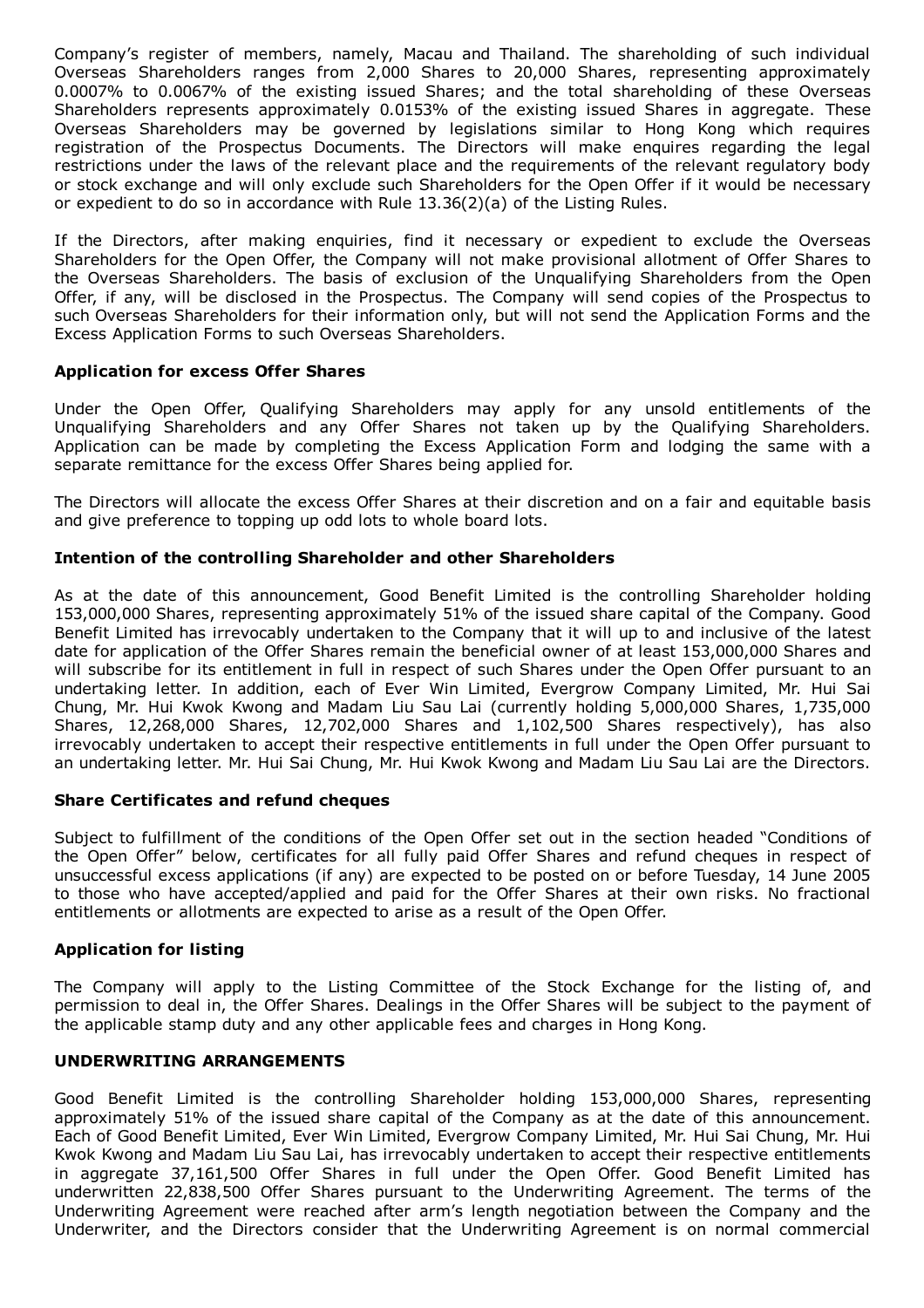Company's register of members, namely, Macau and Thailand. The shareholding of such individual Overseas Shareholders ranges from 2,000 Shares to 20,000 Shares, representing approximately 0.0007% to 0.0067% of the existing issued Shares; and the total shareholding of these Overseas Shareholders represents approximately 0.0153% of the existing issued Shares in aggregate. These Overseas Shareholders may be governed by legislations similar to Hong Kong which requires registration of the Prospectus Documents. The Directors will make enquires regarding the legal restrictions under the laws of the relevant place and the requirements of the relevant regulatory body or stock exchange and will only exclude such Shareholders for the Open Offer if it would be necessary or expedient to do so in accordance with Rule 13.36(2)(a) of the Listing Rules.

If the Directors, after making enquiries, find it necessary or expedient to exclude the Overseas Shareholders for the Open Offer, the Company will not make provisional allotment of Offer Shares to the Overseas Shareholders. The basis of exclusion of the Unqualifying Shareholders from the Open Offer, if any, will be disclosed in the Prospectus. The Company will send copies of the Prospectus to such Overseas Shareholders for their information only, but will not send the Application Forms and the Excess Application Forms to such Overseas Shareholders.

#### Application for excess Offer Shares

Under the Open Offer, Qualifying Shareholders may apply for any unsold entitlements of the Unqualifying Shareholders and any Offer Shares not taken up by the Qualifying Shareholders. Application can be made by completing the Excess Application Form and lodging the same with a separate remittance for the excess Offer Shares being applied for.

The Directors will allocate the excess Offer Shares at their discretion and on a fair and equitable basis and give preference to topping up odd lots to whole board lots.

#### Intention of the controlling Shareholder and other Shareholders

As at the date of this announcement, Good Benefit Limited is the controlling Shareholder holding 153,000,000 Shares, representing approximately 51% of the issued share capital of the Company. Good Benefit Limited has irrevocably undertaken to the Company that it will up to and inclusive of the latest date for application of the Offer Shares remain the beneficial owner of at least 153,000,000 Shares and will subscribe for its entitlement in full in respect of such Shares under the Open Offer pursuant to an undertaking letter. In addition, each of Ever Win Limited, Evergrow Company Limited, Mr. Hui Sai Chung, Mr. Hui Kwok Kwong and Madam Liu Sau Lai (currently holding 5,000,000 Shares, 1,735,000 Shares, 12,268,000 Shares, 12,702,000 Shares and 1,102,500 Shares respectively), has also irrevocably undertaken to accept their respective entitlements in full under the Open Offer pursuant to an undertaking letter. Mr. Hui Sai Chung, Mr. Hui Kwok Kwong and Madam Liu Sau Lai are the Directors.

#### Share Certificates and refund cheques

Subject to fulfillment of the conditions of the Open Offer set out in the section headed "Conditions of the Open Offer" below, certificates for all fully paid Offer Shares and refund cheques in respect of unsuccessful excess applications (if any) are expected to be posted on or before Tuesday, 14 June 2005 to those who have accepted/applied and paid for the Offer Shares at their own risks. No fractional entitlements or allotments are expected to arise as a result of the Open Offer.

#### Application for listing

The Company will apply to the Listing Committee of the Stock Exchange for the listing of, and permission to deal in, the Offer Shares. Dealings in the Offer Shares will be subject to the payment of the applicable stamp duty and any other applicable fees and charges in Hong Kong.

#### UNDERWRITING ARRANGEMENTS

Good Benefit Limited is the controlling Shareholder holding 153,000,000 Shares, representing approximately 51% of the issued share capital of the Company as at the date of this announcement. Each of Good Benefit Limited, Ever Win Limited, Evergrow Company Limited, Mr. Hui Sai Chung, Mr. Hui Kwok Kwong and Madam Liu Sau Lai, has irrevocably undertaken to accept their respective entitlements in aggregate 37,161,500 Offer Shares in full under the Open Offer. Good Benefit Limited has underwritten 22,838,500 Offer Shares pursuant to the Underwriting Agreement. The terms of the Underwriting Agreement were reached after arm's length negotiation between the Company and the Underwriter, and the Directors consider that the Underwriting Agreement is on normal commercial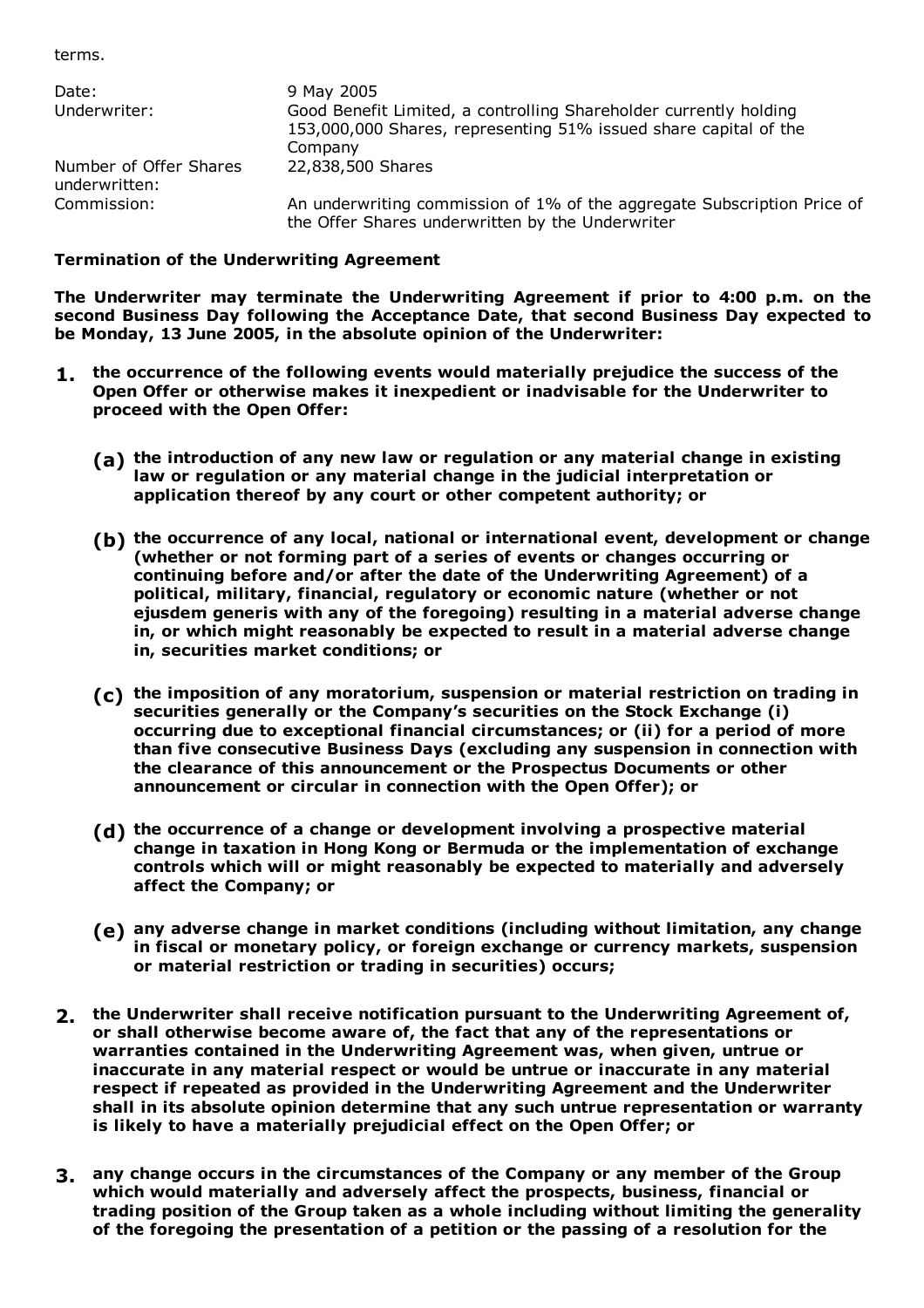terms.

| Date:                                   | 9 May 2005                                                                                                                            |
|-----------------------------------------|---------------------------------------------------------------------------------------------------------------------------------------|
| Underwriter:                            | Good Benefit Limited, a controlling Shareholder currently holding<br>153,000,000 Shares, representing 51% issued share capital of the |
|                                         | Company                                                                                                                               |
| Number of Offer Shares<br>underwritten: | 22,838,500 Shares                                                                                                                     |
| Commission:                             | An underwriting commission of 1% of the aggregate Subscription Price of<br>the Offer Shares underwritten by the Underwriter           |

### Termination of the Underwriting Agreement

The Underwriter may terminate the Underwriting Agreement if prior to 4:00 p.m. on the second Business Day following the Acceptance Date, that second Business Day expected to be Monday, 13 June 2005, in the absolute opinion of the Underwriter:

- 1. the occurrence of the following events would materially prejudice the success of the Open Offer or otherwise makes it inexpedient or inadvisable for the Underwriter to proceed with the Open Offer:
	- (a) the introduction of any new law or regulation or any material change in existing law or regulation or any material change in the judicial interpretation or application thereof by any court or other competent authority; or
	- (b) the occurrence of any local, national or international event, development or change (whether or not forming part of a series of events or changes occurring or continuing before and/or after the date of the Underwriting Agreement) of a political, military, financial, regulatory or economic nature (whether or not ejusdem generis with any of the foregoing) resulting in a material adverse change in, or which might reasonably be expected to result in a material adverse change in, securities market conditions; or
	- $(c)$  the imposition of any moratorium, suspension or material restriction on trading in securities generally or the Company's securities on the Stock Exchange (i) occurring due to exceptional financial circumstances; or (ii) for a period of more than five consecutive Business Days (excluding any suspension in connection with the clearance of this announcement or the Prospectus Documents or other announcement or circular in connection with the Open Offer); or
	- (d) the occurrence of a change or development involving a prospective material change in taxation in Hong Kong or Bermuda or the implementation of exchange controls which will or might reasonably be expected to materially and adversely affect the Company; or
	- (e) any adverse change in market conditions (including without limitation, any change in fiscal or monetary policy, or foreign exchange or currency markets, suspension or material restriction or trading in securities) occurs;
- 2. the Underwriter shall receive notification pursuant to the Underwriting Agreement of, or shall otherwise become aware of, the fact that any of the representations or warranties contained in the Underwriting Agreement was, when given, untrue or inaccurate in any material respect or would be untrue or inaccurate in any material respect if repeated as provided in the Underwriting Agreement and the Underwriter shall in its absolute opinion determine that any such untrue representation or warranty is likely to have a materially prejudicial effect on the Open Offer; or
- 3. any change occurs in the circumstances of the Company or any member of the Group which would materially and adversely affect the prospects, business, financial or trading position of the Group taken as a whole including without limiting the generality of the foregoing the presentation of a petition or the passing of a resolution for the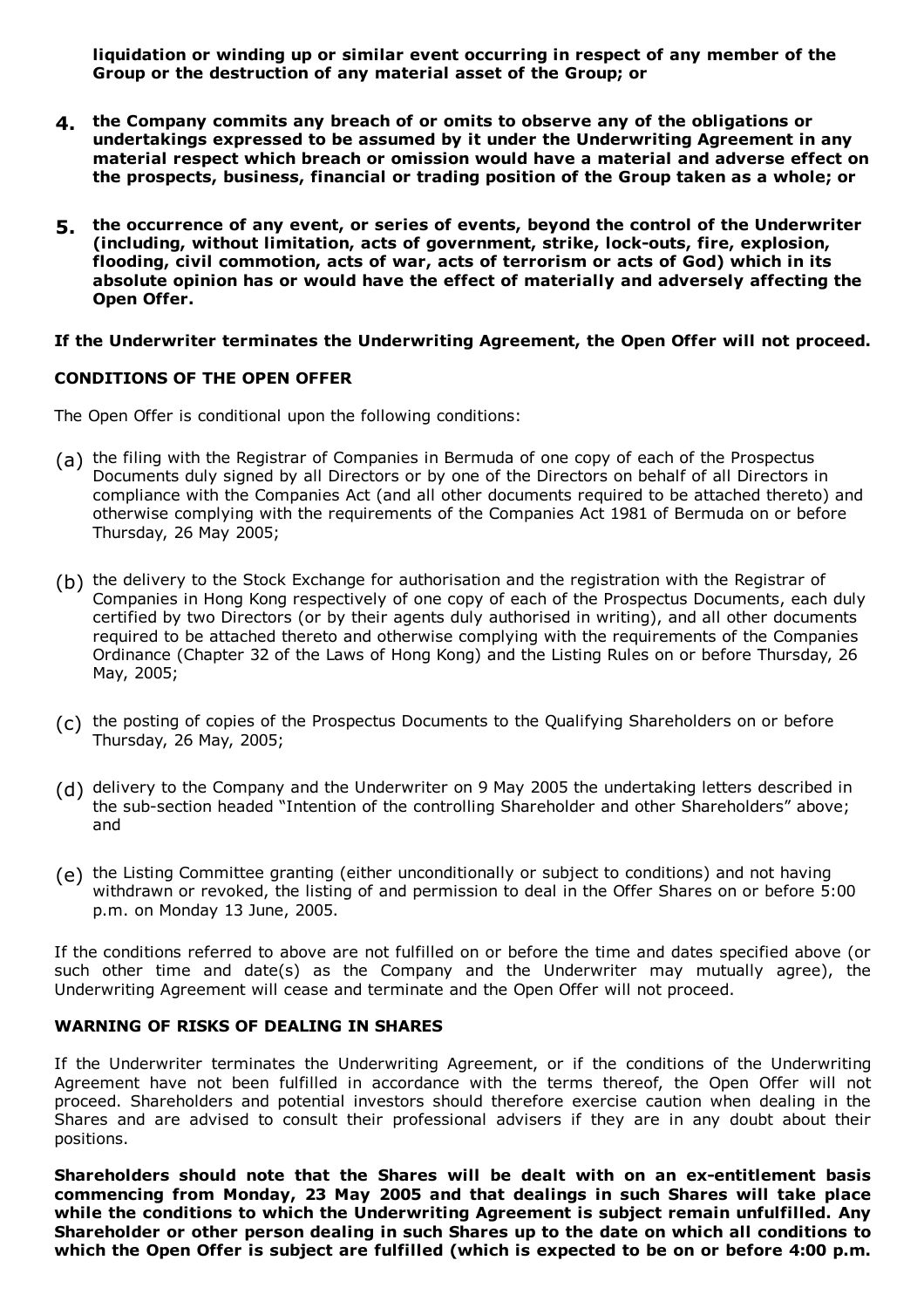liquidation or winding up or similar event occurring in respect of any member of the Group or the destruction of any material asset of the Group; or

- 4. the Company commits any breach of or omits to observe any of the obligations or undertakings expressed to be assumed by it under the Underwriting Agreement in any material respect which breach or omission would have a material and adverse effect on the prospects, business, financial or trading position of the Group taken as a whole; or
- 5. the occurrence of any event, or series of events, beyond the control of the Underwriter (including, without limitation, acts of government, strike, lock-outs, fire, explosion, flooding, civil commotion, acts of war, acts of terrorism or acts of God) which in its absolute opinion has or would have the effect of materially and adversely affecting the Open Offer.

#### If the Underwriter terminates the Underwriting Agreement, the Open Offer will not proceed.

#### CONDITIONS OF THE OPEN OFFER

The Open Offer is conditional upon the following conditions:

- (a) the filing with the Registrar of Companies in Bermuda of one copy of each of the Prospectus Documents duly signed by all Directors or by one of the Directors on behalf of all Directors in compliance with the Companies Act (and all other documents required to be attached thereto) and otherwise complying with the requirements of the Companies Act 1981 of Bermuda on or before Thursday, 26 May 2005;
- (b) the delivery to the Stock Exchange for authorisation and the registration with the Registrar of Companies in Hong Kong respectively of one copy of each of the Prospectus Documents, each duly certified by two Directors (or by their agents duly authorised in writing), and all other documents required to be attached thereto and otherwise complying with the requirements of the Companies Ordinance (Chapter 32 of the Laws of Hong Kong) and the Listing Rules on or before Thursday, 26 May, 2005;
- (c) the posting of copies of the Prospectus Documents to the Qualifying Shareholders on or before Thursday, 26 May, 2005;
- (d) delivery to the Company and the Underwriter on 9 May 2005 the undertaking letters described in the sub-section headed "Intention of the controlling Shareholder and other Shareholders" above; and
- (e) the Listing Committee granting (either unconditionally or subject to conditions) and not having withdrawn or revoked, the listing of and permission to deal in the Offer Shares on or before 5:00 p.m. on Monday 13 June, 2005.

If the conditions referred to above are not fulfilled on or before the time and dates specified above (or such other time and date(s) as the Company and the Underwriter may mutually agree), the Underwriting Agreement will cease and terminate and the Open Offer will not proceed.

#### WARNING OF RISKS OF DEALING IN SHARES

If the Underwriter terminates the Underwriting Agreement, or if the conditions of the Underwriting Agreement have not been fulfilled in accordance with the terms thereof, the Open Offer will not proceed. Shareholders and potential investors should therefore exercise caution when dealing in the Shares and are advised to consult their professional advisers if they are in any doubt about their positions.

Shareholders should note that the Shares will be dealt with on an ex-entitlement basis commencing from Monday, 23 May 2005 and that dealings in such Shares will take place while the conditions to which the Underwriting Agreement is subject remain unfulfilled. Any Shareholder or other person dealing in such Shares up to the date on which all conditions to which the Open Offer is subject are fulfilled (which is expected to be on or before 4:00 p.m.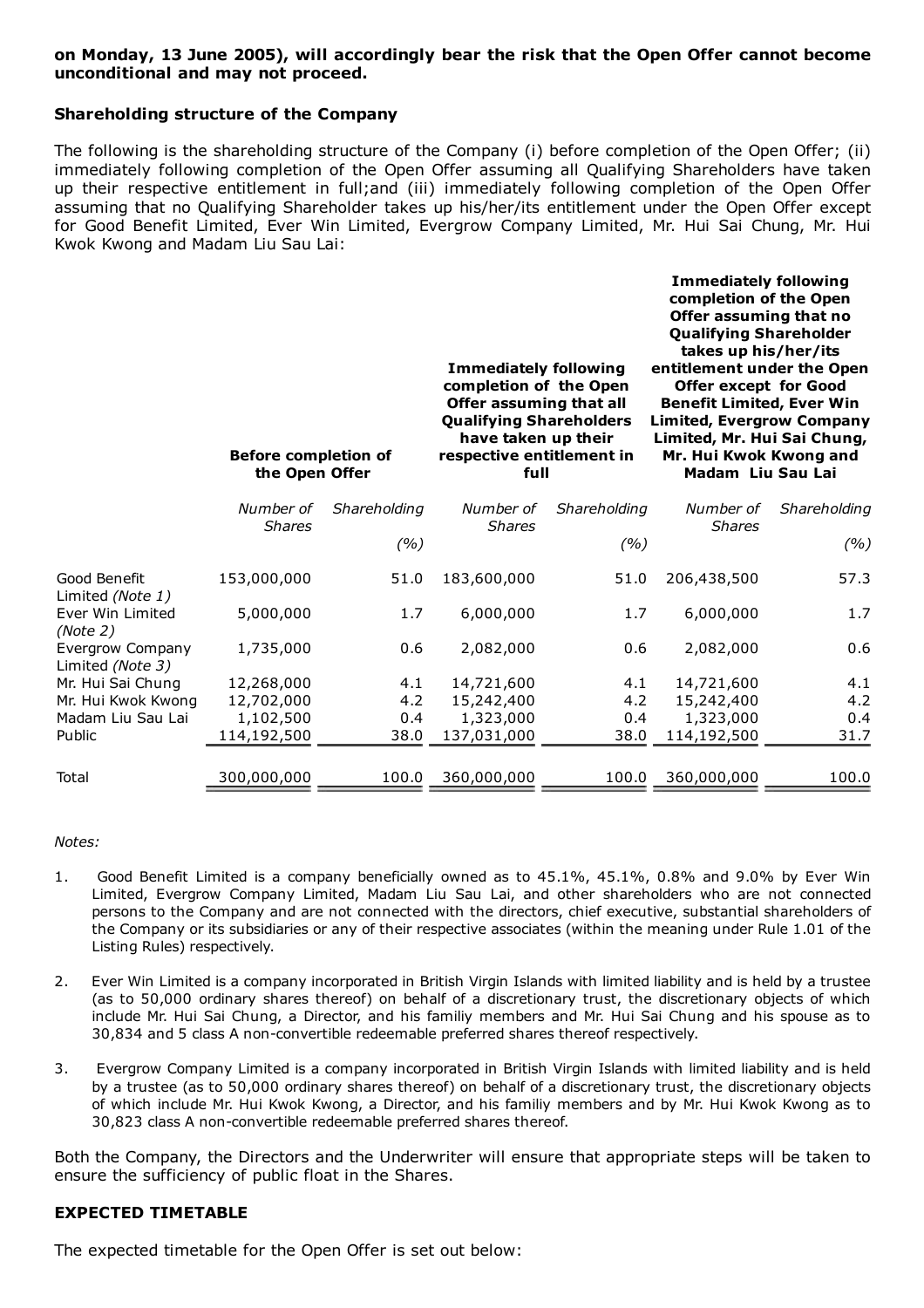#### on Monday, 13 June 2005), will accordingly bear the risk that the Open Offer cannot become unconditional and may not proceed.

#### Shareholding structure of the Company

The following is the shareholding structure of the Company (i) before completion of the Open Offer; (ii) immediately following completion of the Open Offer assuming all Qualifying Shareholders have taken up their respective entitlement in full;and (iii) immediately following completion of the Open Offer assuming that no Qualifying Shareholder takes up his/her/its entitlement under the Open Offer except for Good Benefit Limited, Ever Win Limited, Evergrow Company Limited, Mr. Hui Sai Chung, Mr. Hui Kwok Kwong and Madam Liu Sau Lai:

Immediately following

|                                      | <b>Before completion of</b><br>the Open Offer |              | <b>Immediately following</b><br>completion of the Open<br>Offer assuming that all<br><b>Qualifying Shareholders</b><br>have taken up their<br>respective entitlement in<br>full |              | completion of the Open<br>Offer assuming that no<br><b>Qualifying Shareholder</b><br>takes up his/her/its<br>entitlement under the Open<br><b>Offer except for Good</b><br><b>Benefit Limited, Ever Win</b><br><b>Limited, Evergrow Company</b><br>Limited, Mr. Hui Sai Chung,<br>Mr. Hui Kwok Kwong and<br>Madam Liu Sau Lai |              |
|--------------------------------------|-----------------------------------------------|--------------|---------------------------------------------------------------------------------------------------------------------------------------------------------------------------------|--------------|-------------------------------------------------------------------------------------------------------------------------------------------------------------------------------------------------------------------------------------------------------------------------------------------------------------------------------|--------------|
|                                      | Number of<br><b>Shares</b>                    | Shareholding | Number of<br><b>Shares</b>                                                                                                                                                      | Shareholding | Number of<br><b>Shares</b>                                                                                                                                                                                                                                                                                                    | Shareholding |
|                                      |                                               | (%)          |                                                                                                                                                                                 | (%)          |                                                                                                                                                                                                                                                                                                                               | (%)          |
| Good Benefit<br>Limited (Note 1)     | 153,000,000                                   | 51.0         | 183,600,000                                                                                                                                                                     | 51.0         | 206,438,500                                                                                                                                                                                                                                                                                                                   | 57.3         |
| Ever Win Limited<br>(Note 2)         | 5,000,000                                     | 1.7          | 6,000,000                                                                                                                                                                       | 1.7          | 6,000,000                                                                                                                                                                                                                                                                                                                     | 1.7          |
| Evergrow Company<br>Limited (Note 3) | 1,735,000                                     | 0.6          | 2,082,000                                                                                                                                                                       | 0.6          | 2,082,000                                                                                                                                                                                                                                                                                                                     | 0.6          |
| Mr. Hui Sai Chung                    | 12,268,000                                    | 4.1          | 14,721,600                                                                                                                                                                      | 4.1          | 14,721,600                                                                                                                                                                                                                                                                                                                    | 4.1          |
| Mr. Hui Kwok Kwong                   | 12,702,000                                    | 4.2          | 15,242,400                                                                                                                                                                      | 4.2          | 15,242,400                                                                                                                                                                                                                                                                                                                    | 4.2          |
| Madam Liu Sau Lai                    | 1,102,500                                     | 0.4          | 1,323,000                                                                                                                                                                       | 0.4          | 1,323,000                                                                                                                                                                                                                                                                                                                     | 0.4          |
| Public                               | 114,192,500                                   | 38.0         | 137,031,000                                                                                                                                                                     | 38.0         | 114,192,500                                                                                                                                                                                                                                                                                                                   | 31.7         |
| Total                                | 300,000,000                                   | 100.0        | 360,000,000                                                                                                                                                                     | 100.0        | 360,000,000                                                                                                                                                                                                                                                                                                                   | 100.0        |

#### Notes:

- 1. Good Benefit Limited is a company beneficially owned as to 45.1%, 45.1%, 0.8% and 9.0% by Ever Win Limited, Evergrow Company Limited, Madam Liu Sau Lai, and other shareholders who are not connected persons to the Company and are not connected with the directors, chief executive, substantial shareholders of the Company or its subsidiaries or any of their respective associates (within the meaning under Rule 1.01 of the Listing Rules) respectively.
- 2. Ever Win Limited is a company incorporated in British Virgin Islands with limited liability and is held by a trustee (as to 50,000 ordinary shares thereof) on behalf of a discretionary trust, the discretionary objects of which include Mr. Hui Sai Chung, a Director, and his familiy members and Mr. Hui Sai Chung and his spouse as to 30,834 and 5 class A nonconvertible redeemable preferred shares thereof respectively.
- 3. Evergrow Company Limited is a company incorporated in British Virgin Islands with limited liability and is held by a trustee (as to 50,000 ordinary shares thereof) on behalf of a discretionary trust, the discretionary objects of which include Mr. Hui Kwok Kwong, a Director, and his familiy members and by Mr. Hui Kwok Kwong as to 30,823 class A non-convertible redeemable preferred shares thereof.

Both the Company, the Directors and the Underwriter will ensure that appropriate steps will be taken to ensure the sufficiency of public float in the Shares.

#### EXPECTED TIMETABLE

The expected timetable for the Open Offer is set out below: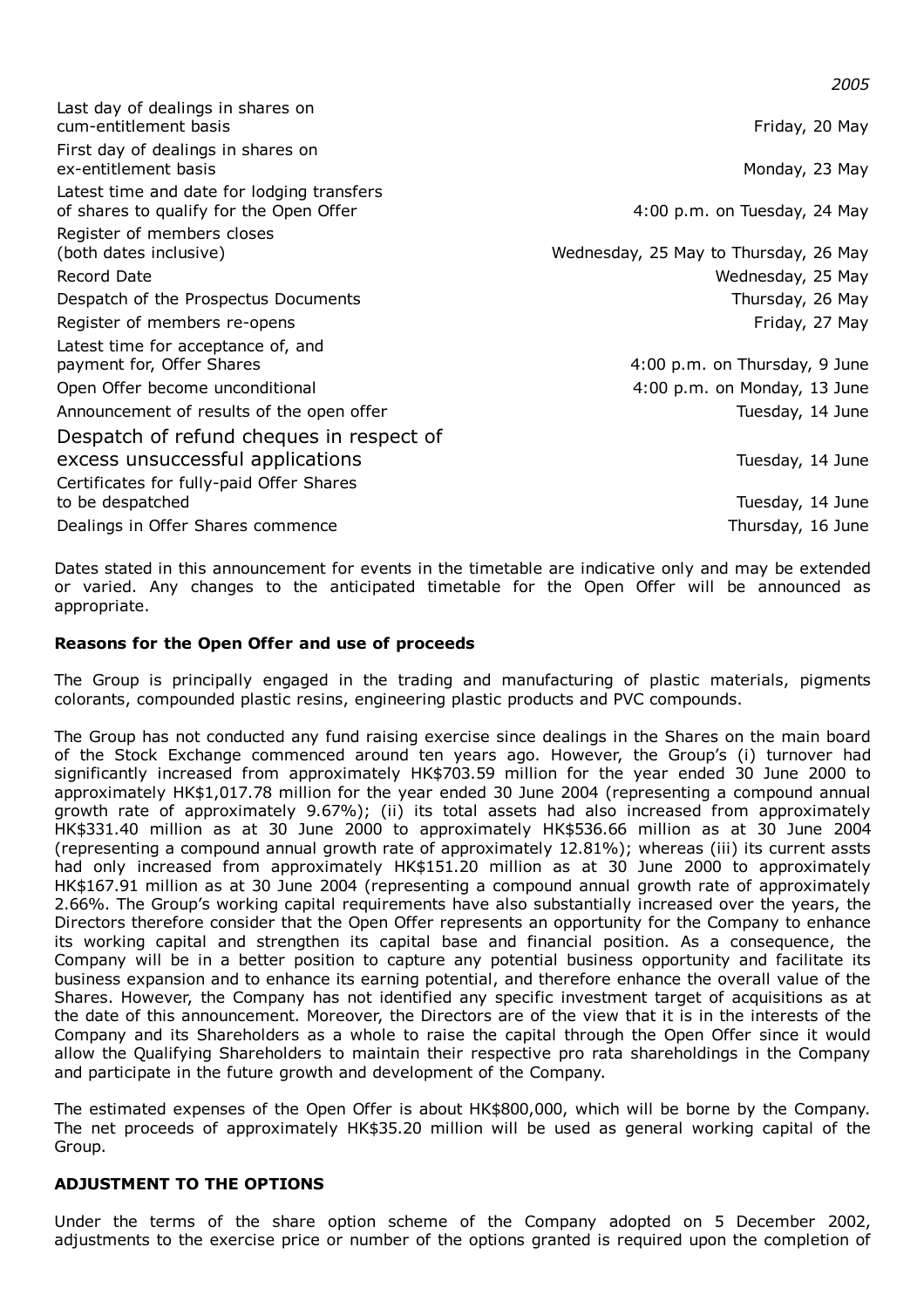| Friday, 20 May                        |
|---------------------------------------|
| Monday, 23 May                        |
| 4:00 p.m. on Tuesday, 24 May          |
| Wednesday, 25 May to Thursday, 26 May |
| Wednesday, 25 May                     |
| Thursday, 26 May                      |
| Friday, 27 May                        |
| 4:00 p.m. on Thursday, 9 June         |
| 4:00 p.m. on Monday, 13 June          |
| Tuesday, 14 June                      |
|                                       |
| Tuesday, 14 June                      |
|                                       |
| Tuesday, 14 June                      |
| Thursday, 16 June                     |
|                                       |

2005

Dates stated in this announcement for events in the timetable are indicative only and may be extended or varied. Any changes to the anticipated timetable for the Open Offer will be announced as appropriate.

#### Reasons for the Open Offer and use of proceeds

The Group is principally engaged in the trading and manufacturing of plastic materials, pigments colorants, compounded plastic resins, engineering plastic products and PVC compounds.

The Group has not conducted any fund raising exercise since dealings in the Shares on the main board of the Stock Exchange commenced around ten years ago. However, the Group's (i) turnover had significantly increased from approximately HK\$703.59 million for the year ended 30 June 2000 to approximately HK\$1,017.78 million for the year ended 30 June 2004 (representing a compound annual growth rate of approximately 9.67%); (ii) its total assets had also increased from approximately HK\$331.40 million as at 30 June 2000 to approximately HK\$536.66 million as at 30 June 2004 (representing a compound annual growth rate of approximately 12.81%); whereas (iii) its current assts had only increased from approximately HK\$151.20 million as at 30 June 2000 to approximately HK\$167.91 million as at 30 June 2004 (representing a compound annual growth rate of approximately 2.66%. The Group's working capital requirements have also substantially increased over the years, the Directors therefore consider that the Open Offer represents an opportunity for the Company to enhance its working capital and strengthen its capital base and financial position. As a consequence, the Company will be in a better position to capture any potential business opportunity and facilitate its business expansion and to enhance its earning potential, and therefore enhance the overall value of the Shares. However, the Company has not identified any specific investment target of acquisitions as at the date of this announcement. Moreover, the Directors are of the view that it is in the interests of the Company and its Shareholders as a whole to raise the capital through the Open Offer since it would allow the Qualifying Shareholders to maintain their respective pro rata shareholdings in the Company and participate in the future growth and development of the Company.

The estimated expenses of the Open Offer is about HK\$800,000, which will be borne by the Company. The net proceeds of approximately HK\$35.20 million will be used as general working capital of the Group.

### ADJUSTMENT TO THE OPTIONS

Under the terms of the share option scheme of the Company adopted on 5 December 2002, adjustments to the exercise price or number of the options granted is required upon the completion of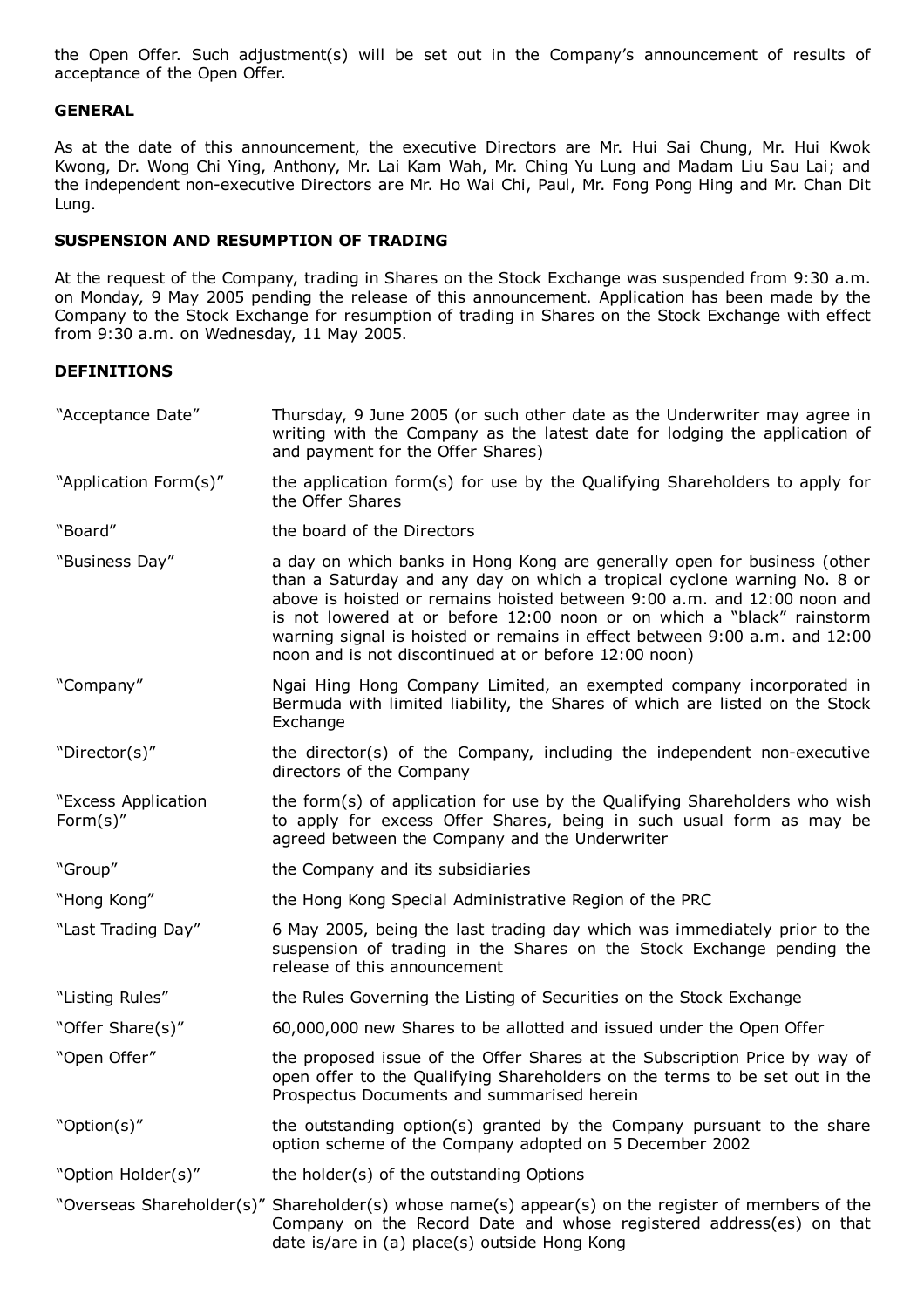the Open Offer. Such adjustment(s) will be set out in the Company's announcement of results of acceptance of the Open Offer.

# GENERAL

As at the date of this announcement, the executive Directors are Mr. Hui Sai Chung, Mr. Hui Kwok Kwong, Dr. Wong Chi Ying, Anthony, Mr. Lai Kam Wah, Mr. Ching Yu Lung and Madam Liu Sau Lai; and the independent nonexecutive Directors are Mr. Ho Wai Chi, Paul, Mr. Fong Pong Hing and Mr. Chan Dit Lung.

# SUSPENSION AND RESUMPTION OF TRADING

At the request of the Company, trading in Shares on the Stock Exchange was suspended from 9:30 a.m. on Monday, 9 May 2005 pending the release of this announcement. Application has been made by the Company to the Stock Exchange for resumption of trading in Shares on the Stock Exchange with effect from 9:30 a.m. on Wednesday, 11 May 2005.

#### DEFINITIONS

| "Acceptance Date"                  | Thursday, 9 June 2005 (or such other date as the Underwriter may agree in<br>writing with the Company as the latest date for lodging the application of<br>and payment for the Offer Shares)                                                                                                                                                                                                                                                      |
|------------------------------------|---------------------------------------------------------------------------------------------------------------------------------------------------------------------------------------------------------------------------------------------------------------------------------------------------------------------------------------------------------------------------------------------------------------------------------------------------|
| "Application Form(s)"              | the application form(s) for use by the Qualifying Shareholders to apply for<br>the Offer Shares                                                                                                                                                                                                                                                                                                                                                   |
| "Board"                            | the board of the Directors                                                                                                                                                                                                                                                                                                                                                                                                                        |
| "Business Day"                     | a day on which banks in Hong Kong are generally open for business (other<br>than a Saturday and any day on which a tropical cyclone warning No. 8 or<br>above is hoisted or remains hoisted between 9:00 a.m. and 12:00 noon and<br>is not lowered at or before 12:00 noon or on which a "black" rainstorm<br>warning signal is hoisted or remains in effect between 9:00 a.m. and 12:00<br>noon and is not discontinued at or before 12:00 noon) |
| "Company"                          | Ngai Hing Hong Company Limited, an exempted company incorporated in<br>Bermuda with limited liability, the Shares of which are listed on the Stock<br>Exchange                                                                                                                                                                                                                                                                                    |
| "Director(s)"                      | the director(s) of the Company, including the independent non-executive<br>directors of the Company                                                                                                                                                                                                                                                                                                                                               |
| "Excess Application<br>$Form(s)$ " | the form(s) of application for use by the Qualifying Shareholders who wish<br>to apply for excess Offer Shares, being in such usual form as may be<br>agreed between the Company and the Underwriter                                                                                                                                                                                                                                              |
| "Group"                            | the Company and its subsidiaries                                                                                                                                                                                                                                                                                                                                                                                                                  |
| "Hong Kong"                        | the Hong Kong Special Administrative Region of the PRC                                                                                                                                                                                                                                                                                                                                                                                            |
| "Last Trading Day"                 | 6 May 2005, being the last trading day which was immediately prior to the<br>suspension of trading in the Shares on the Stock Exchange pending the<br>release of this announcement                                                                                                                                                                                                                                                                |
| "Listing Rules"                    | the Rules Governing the Listing of Securities on the Stock Exchange                                                                                                                                                                                                                                                                                                                                                                               |
| "Offer Share(s)"                   | 60,000,000 new Shares to be allotted and issued under the Open Offer                                                                                                                                                                                                                                                                                                                                                                              |
| "Open Offer"                       | the proposed issue of the Offer Shares at the Subscription Price by way of<br>open offer to the Qualifying Shareholders on the terms to be set out in the<br>Prospectus Documents and summarised herein                                                                                                                                                                                                                                           |
| "Option(s)"                        | the outstanding option(s) granted by the Company pursuant to the share<br>option scheme of the Company adopted on 5 December 2002                                                                                                                                                                                                                                                                                                                 |
| "Option Holder(s)"                 | the holder(s) of the outstanding Options                                                                                                                                                                                                                                                                                                                                                                                                          |
|                                    | "Overseas Shareholder(s)" Shareholder(s) whose name(s) appear(s) on the register of members of the<br>Company on the Record Date and whose registered address(es) on that<br>date is/are in (a) place(s) outside Hong Kong                                                                                                                                                                                                                        |